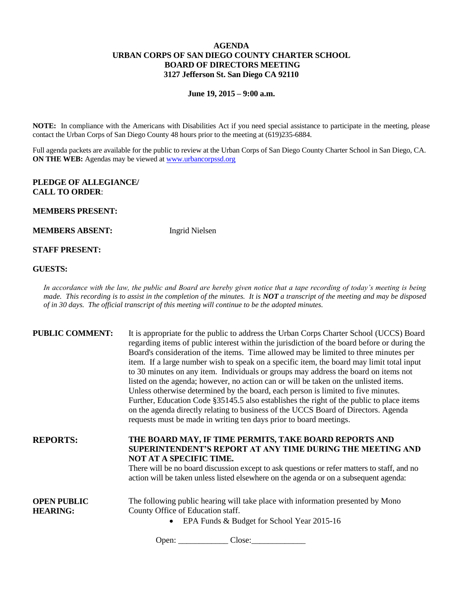# **AGENDA URBAN CORPS OF SAN DIEGO COUNTY CHARTER SCHOOL BOARD OF DIRECTORS MEETING 3127 Jefferson St. San Diego CA 92110**

**June 19, 2015 – 9:00 a.m.**

**NOTE:** In compliance with the Americans with Disabilities Act if you need special assistance to participate in the meeting, please contact the Urban Corps of San Diego County 48 hours prior to the meeting at (619)235-6884.

Full agenda packets are available for the public to review at the Urban Corps of San Diego County Charter School in San Diego, CA. **ON THE WEB:** Agendas may be viewed at [www.urbancorpssd.org](http://www.urbancorpssd.org/)

# **PLEDGE OF ALLEGIANCE/ CALL TO ORDER**:

### **MEMBERS PRESENT:**

**MEMBERS ABSENT:** Ingrid Nielsen

# **STAFF PRESENT:**

#### **GUESTS:**

*In accordance with the law, the public and Board are hereby given notice that a tape recording of today's meeting is being made. This recording is to assist in the completion of the minutes. It is NOT a transcript of the meeting and may be disposed of in 30 days. The official transcript of this meeting will continue to be the adopted minutes.*

| <b>PUBLIC COMMENT:</b>                | It is appropriate for the public to address the Urban Corps Charter School (UCCS) Board<br>regarding items of public interest within the jurisdiction of the board before or during the<br>Board's consideration of the items. Time allowed may be limited to three minutes per<br>item. If a large number wish to speak on a specific item, the board may limit total input<br>to 30 minutes on any item. Individuals or groups may address the board on items not<br>listed on the agenda; however, no action can or will be taken on the unlisted items.<br>Unless otherwise determined by the board, each person is limited to five minutes.<br>Further, Education Code §35145.5 also establishes the right of the public to place items<br>on the agenda directly relating to business of the UCCS Board of Directors. Agenda<br>requests must be made in writing ten days prior to board meetings. |
|---------------------------------------|----------------------------------------------------------------------------------------------------------------------------------------------------------------------------------------------------------------------------------------------------------------------------------------------------------------------------------------------------------------------------------------------------------------------------------------------------------------------------------------------------------------------------------------------------------------------------------------------------------------------------------------------------------------------------------------------------------------------------------------------------------------------------------------------------------------------------------------------------------------------------------------------------------|
| <b>REPORTS:</b>                       | THE BOARD MAY, IF TIME PERMITS, TAKE BOARD REPORTS AND<br><b>SUPERINTENDENT'S REPORT AT ANY TIME DURING THE MEETING AND</b><br>NOT AT A SPECIFIC TIME.<br>There will be no board discussion except to ask questions or refer matters to staff, and no<br>action will be taken unless listed elsewhere on the agenda or on a subsequent agenda:                                                                                                                                                                                                                                                                                                                                                                                                                                                                                                                                                           |
| <b>OPEN PUBLIC</b><br><b>HEARING:</b> | The following public hearing will take place with information presented by Mono<br>County Office of Education staff.<br>EPA Funds & Budget for School Year 2015-16                                                                                                                                                                                                                                                                                                                                                                                                                                                                                                                                                                                                                                                                                                                                       |

Open: \_\_\_\_\_\_\_\_\_\_\_\_ Close:\_\_\_\_\_\_\_\_\_\_\_\_\_